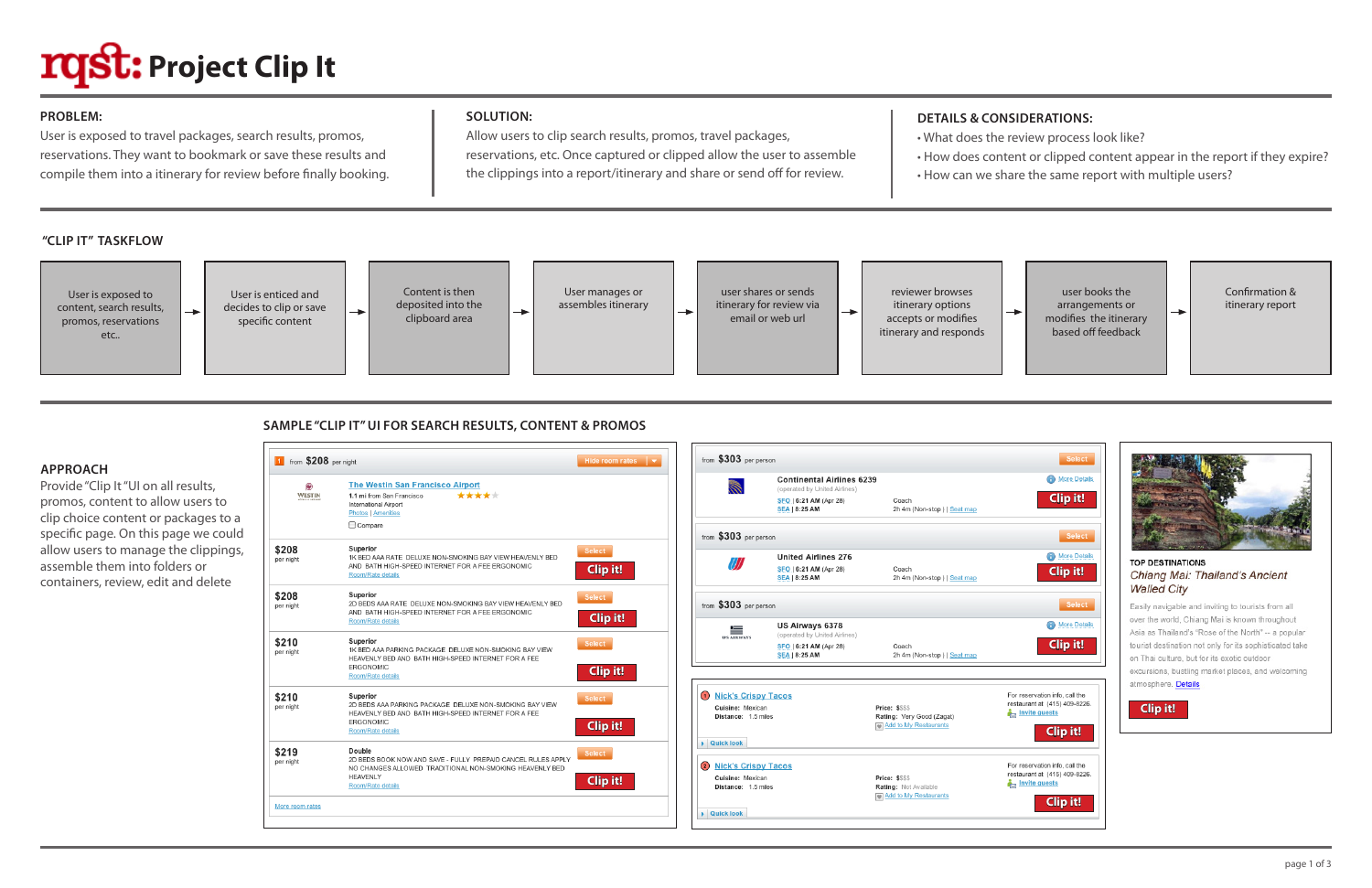## **SOLUTION:**

Allow users to clip search results, promos, travel packages, reservations, etc. Once captured or clipped allow the user to assemble the clippings into a report/itinerary and share or send off for review.

## **PROBLEM:**

User is exposed to travel packages, search results, promos, reservations. They want to bookmark or save these results and compile them into a itinerary for review before finally booking.

### **APPROACH**

Provide "Clip It "UI on all results, promos, content to allow users to clip choice content or packages to a specific page. On this page we could allow users to manage the clippings, assemble them into folders or containers, review, edit and delete

## **"CLIP IT" TASKFLOW**

# **DETAILS & CONSIDERATIONS:**

- 
- 
- 

• What does the review process look like?

• How does content or clipped content appear in the report if they expire?

• How can we share the same report with multiple users?





# **SAMPLE "CLIP IT" UI FOR SEARCH RESULTS, CONTENT & PROMOS**

| 贩             | The Westin San Francisco Airport                                                                                                                                |                 |
|---------------|-----------------------------------------------------------------------------------------------------------------------------------------------------------------|-----------------|
| <b>WESTIN</b> | *****<br>1.1 mi from San Francisco<br>International Airport<br><b>Photos</b> Amenities                                                                          |                 |
|               | Compare                                                                                                                                                         |                 |
| \$208         | Superior                                                                                                                                                        | <b>Select</b>   |
| per night     | 1K BED AAA RATE DELUXE NON-SMOKING BAY VIEW HEAVENLY BED<br>AND BATH HIGH-SPEED INTERNET FOR A FEE ERGONOMIC<br>Room/Rate details                               | <b>Clip it!</b> |
| \$208         | <b>Superior</b>                                                                                                                                                 | <b>Select</b>   |
| per night     | 2D BEDS AAA RATE DELUXE NON-SMOKING BAY VIEW HEAVENLY BED<br>AND BATH HIGH-SPEED INTERNET FOR A FEE ERGONOMIC<br>Room/Rate details                              | Clip it!        |
| \$210         | Superior<br>1K BED AAA PARKING PACKAGE DELUXE NON-SMOKING BAY VIEW                                                                                              | <b>Select</b>   |
| per night     | HEAVENLY BED AND BATH HIGH-SPEED INTERNET FOR A FEE<br><b>FRGONOMIC</b>                                                                                         |                 |
|               | Room/Rate details                                                                                                                                               | Clip it!        |
| \$210         | Superior                                                                                                                                                        | Select          |
| per night     | 2D BEDS AAA PARKING PACKAGE DELUXE NON-SMOKING BAY VIEW<br>HEAVENLY BED AND BATH HIGH-SPEED INTERNET FOR A FEE                                                  |                 |
|               | <b>ERGONOMIC</b><br>Room/Rate details                                                                                                                           | Clip it!        |
| \$219         | Double                                                                                                                                                          | Select          |
| per night     | 2D BEDS BOOK NOW AND SAVE - FULLY PREPAID CANCEL RULES APPLY<br>NO CHANGES ALLOWED TRADITIONAL NON-SMOKING HEAVENLY BED<br><b>HEAVENLY</b><br>Room/Rate details | <b>Clip it!</b> |



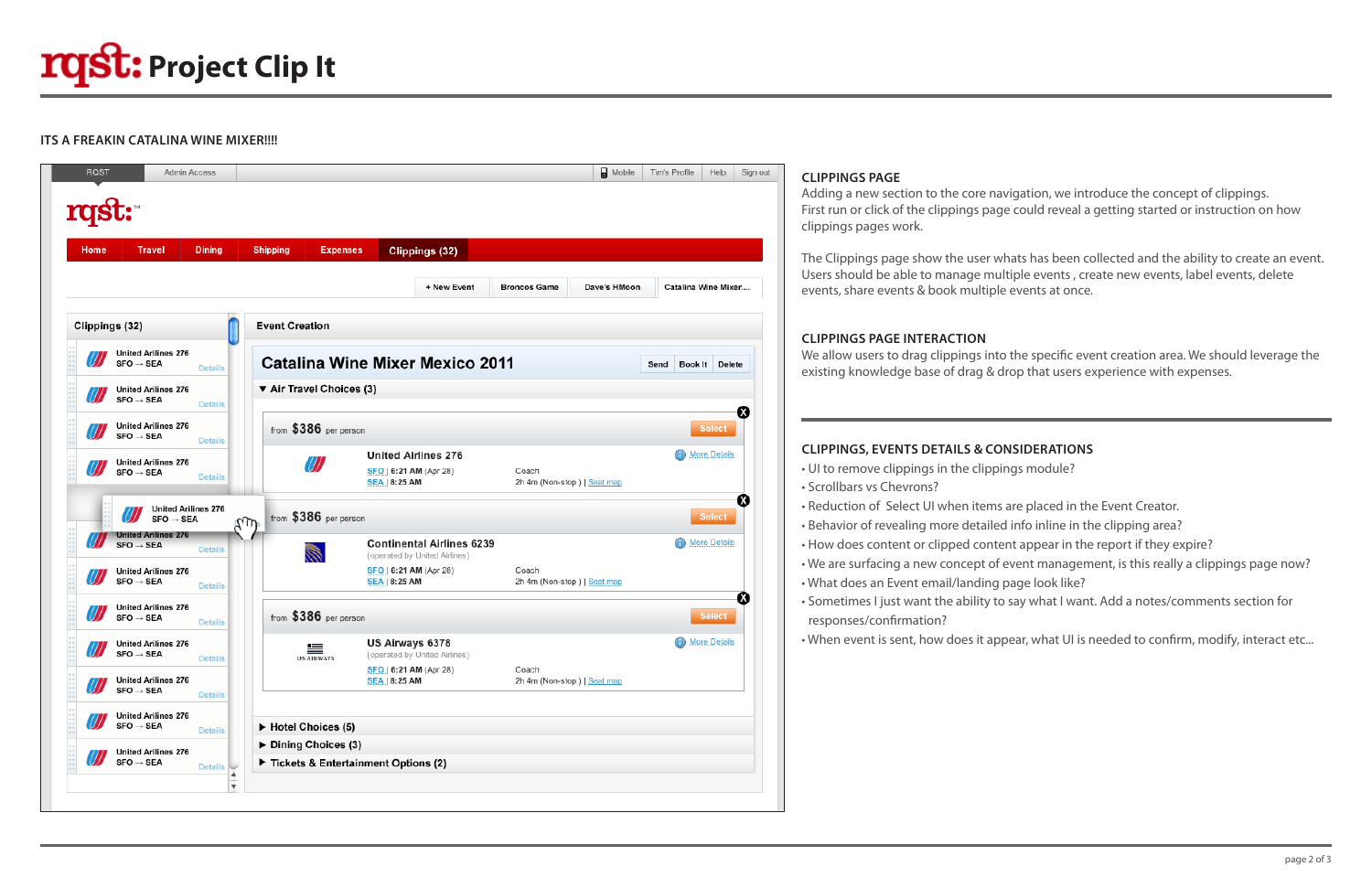## **ITS A FREAKIN CATALINA WINE MIXER!!!!**





#### **CLIPPINGS PAGE**

Adding a new section to the core navigation, we introduce the concept of clippings. First run or click of the clippings page could reveal a getting started or instruction on how clippings pages work.

The Clippings page show the user whats has been collected and the ability to create an event. Users should be able to manage multiple events , create new events, label events, delete events, share events & book multiple events at once.

#### **CLIPPINGS PAGE INTERACTION**

We allow users to drag clippings into the specific event creation area. We should leverage the existing knowledge base of drag & drop that users experience with expenses.

# **CLIPPINGS, EVENTS DETAILS & CONSIDERATIONS**

- UI to remove clippings in the clippings module?
- Scrollbars vs Chevrons?
- Reduction of Select UI when items are placed in the Event Creator.
- Behavior of revealing more detailed info inline in the clipping area?
- How does content or clipped content appear in the report if they expire?
- We are surfacing a new concept of event management, is this really a clippings page now?
- What does an Event email/landing page look like?
- Sometimes I just want the ability to say what I want. Add a notes/comments section for responses/confirmation?
- 

• When event is sent, how does it appear, what UI is needed to confirm, modify, interact etc...